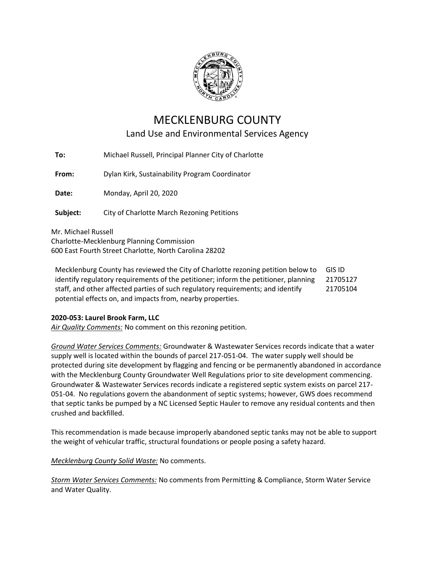

## MECKLENBURG COUNTY Land Use and Environmental Services Agency

**To:** Michael Russell, Principal Planner City of Charlotte

**From:** Dylan Kirk, Sustainability Program Coordinator

**Date:** Monday, April 20, 2020

**Subject:** City of Charlotte March Rezoning Petitions

Mr. Michael Russell Charlotte-Mecklenburg Planning Commission 600 East Fourth Street Charlotte, North Carolina 28202

Mecklenburg County has reviewed the City of Charlotte rezoning petition below to identify regulatory requirements of the petitioner; inform the petitioner, planning staff, and other affected parties of such regulatory requirements; and identify potential effects on, and impacts from, nearby properties. GIS ID 21705127 21705104

## **2020-053: Laurel Brook Farm, LLC**

*Air Quality Comments:* No comment on this rezoning petition.

*Ground Water Services Comments:* Groundwater & Wastewater Services records indicate that a water supply well is located within the bounds of parcel 217-051-04. The water supply well should be protected during site development by flagging and fencing or be permanently abandoned in accordance with the Mecklenburg County Groundwater Well Regulations prior to site development commencing. Groundwater & Wastewater Services records indicate a registered septic system exists on parcel 217- 051-04. No regulations govern the abandonment of septic systems; however, GWS does recommend that septic tanks be pumped by a NC Licensed Septic Hauler to remove any residual contents and then crushed and backfilled.

This recommendation is made because improperly abandoned septic tanks may not be able to support the weight of vehicular traffic, structural foundations or people posing a safety hazard.

*Mecklenburg County Solid Waste:* No comments.

*Storm Water Services Comments:* No comments from Permitting & Compliance, Storm Water Service and Water Quality.